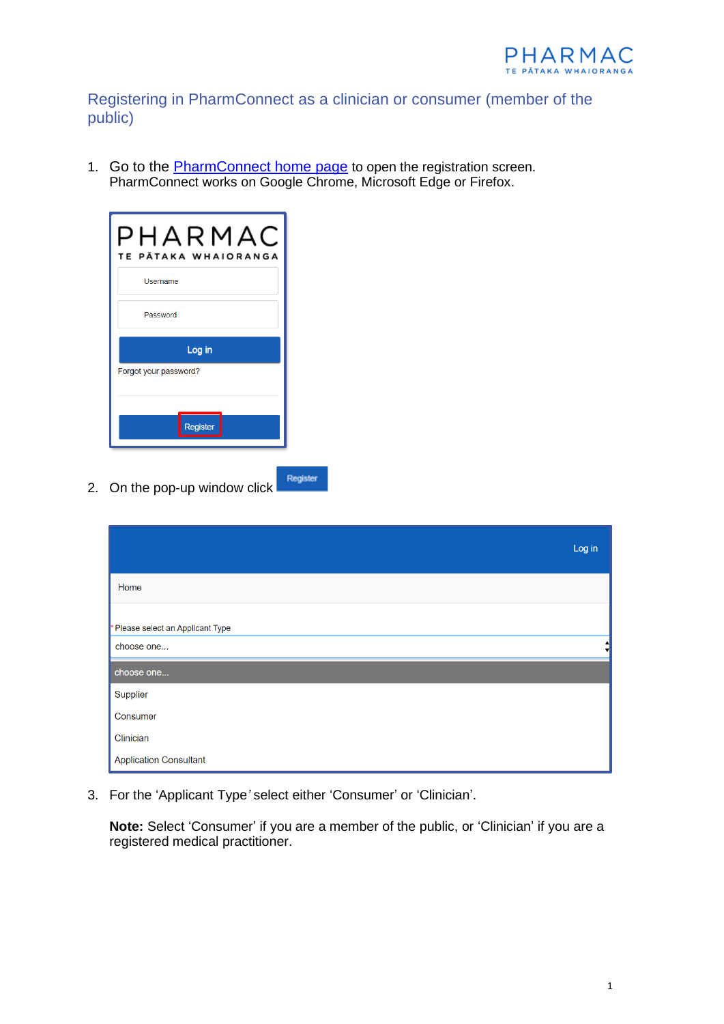

Registering in PharmConnect as a clinician or consumer (member of the public)

1. Go to the **PharmConnect home page** to open the registration screen. PharmConnect works on Google Chrome, Microsoft Edge or Firefox.

Register



2. On the pop-up window click

|                                               | Log in |
|-----------------------------------------------|--------|
| Home                                          |        |
| Please select an Applicant Type<br>choose one |        |
| choose one                                    |        |
| Supplier                                      |        |
| Consumer                                      |        |
| Clinician                                     |        |
| <b>Application Consultant</b>                 |        |

3. For the 'Applicant Type*'* select either 'Consumer' or 'Clinician'.

**Note:** Select 'Consumer' if you are a member of the public, or 'Clinician' if you are a registered medical practitioner.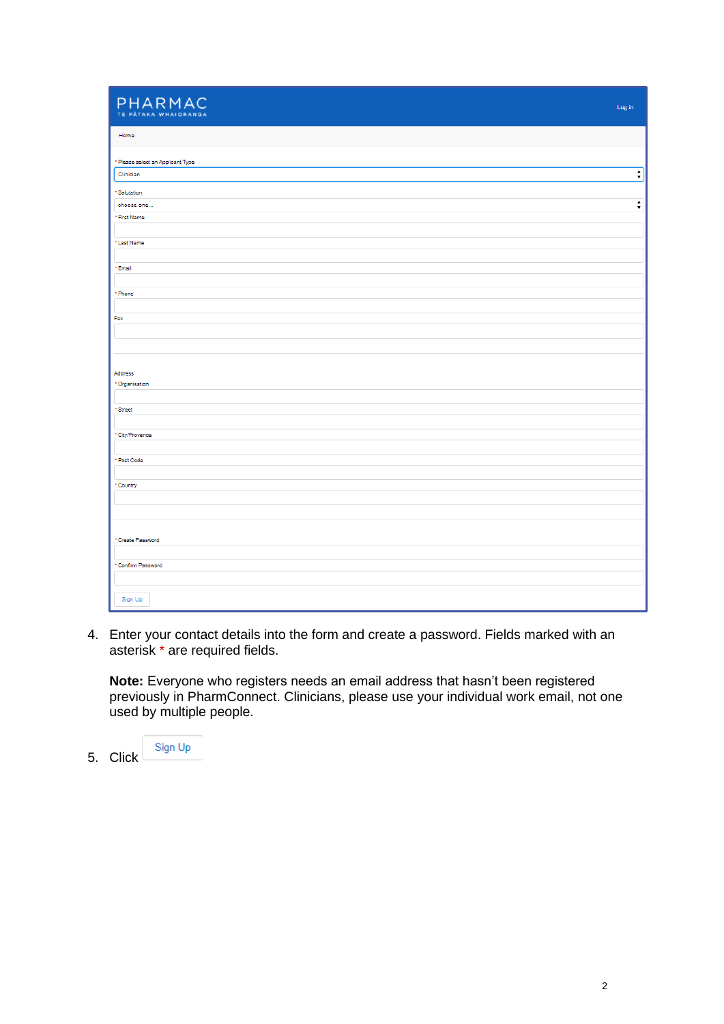| PHARMAC<br>TE PÀTAKA WHAIORANGA   | Log in                          |
|-----------------------------------|---------------------------------|
| Home                              |                                 |
| * Please select an Applicant Type |                                 |
| Clinician                         | $\overline{\cdot}$              |
| *Salutation                       |                                 |
| choose one                        | $\overset{\bullet}{\mathbf{v}}$ |
| * First Name                      |                                 |
| *Last Name                        |                                 |
| *Email                            |                                 |
| * Phone                           |                                 |
| Fax                               |                                 |
|                                   |                                 |
| Address                           |                                 |
| *Organisation                     |                                 |
| *Street                           |                                 |
| *City/Provence                    |                                 |
| * Post Code                       |                                 |
|                                   |                                 |
| *Country                          |                                 |
|                                   |                                 |
|                                   |                                 |
| * Create Password                 |                                 |
|                                   |                                 |
| *Confirm Password                 |                                 |
|                                   |                                 |
| Sign Up                           |                                 |

4. Enter your contact details into the form and create a password. Fields marked with an asterisk \* are required fields.

**Note:** Everyone who registers needs an email address that hasn't been registered previously in PharmConnect. Clinicians, please use your individual work email, not one used by multiple people.